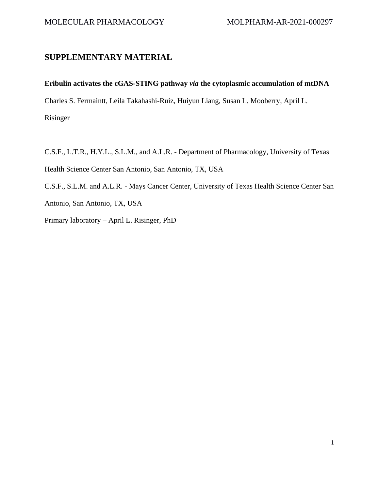## **SUPPLEMENTARY MATERIAL**

## **Eribulin activates the cGAS-STING pathway** *via* **the cytoplasmic accumulation of mtDNA**

Charles S. Fermaintt, Leila Takahashi-Ruiz, Huiyun Liang, Susan L. Mooberry, April L.

Risinger

C.S.F., L.T.R., H.Y.L., S.L.M., and A.L.R. - Department of Pharmacology, University of Texas Health Science Center San Antonio, San Antonio, TX, USA

C.S.F., S.L.M. and A.L.R. - Mays Cancer Center, University of Texas Health Science Center San Antonio, San Antonio, TX, USA

Primary laboratory – April L. Risinger, PhD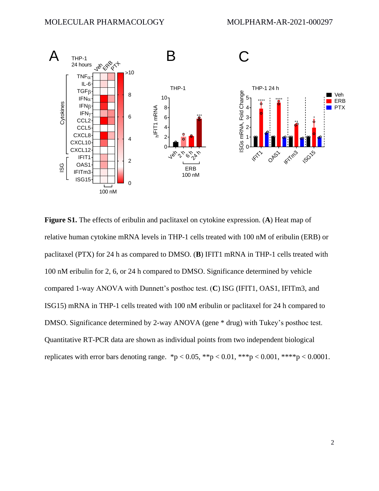

**Figure S1.** The effects of eribulin and paclitaxel on cytokine expression. (**A**) Heat map of relative human cytokine mRNA levels in THP-1 cells treated with 100 nM of eribulin (ERB) or paclitaxel (PTX) for 24 h as compared to DMSO. (**B**) IFIT1 mRNA in THP-1 cells treated with 100 nM eribulin for 2, 6, or 24 h compared to DMSO. Significance determined by vehicle compared 1-way ANOVA with Dunnett's posthoc test. (**C**) ISG (IFIT1, OAS1, IFITm3, and ISG15) mRNA in THP-1 cells treated with 100 nM eribulin or paclitaxel for 24 h compared to DMSO. Significance determined by 2-way ANOVA (gene \* drug) with Tukey's posthoc test. Quantitative RT-PCR data are shown as individual points from two independent biological replicates with error bars denoting range. \*p < 0.05, \*\*p < 0.01, \*\*\*p < 0.001, \*\*\*\*p < 0.0001.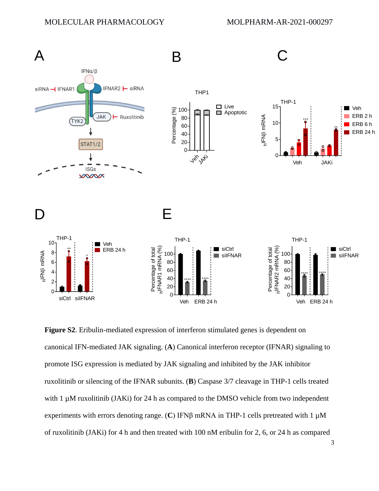

**Figure S2**. Eribulin-mediated expression of interferon stimulated genes is dependent on canonical IFN-mediated JAK signaling. (**A**) Canonical interferon receptor (IFNAR) signaling to promote ISG expression is mediated by JAK signaling and inhibited by the JAK inhibitor ruxolitinib or silencing of the IFNAR subunits. (**B**) Caspase 3/7 cleavage in THP-1 cells treated with 1  $\mu$ M ruxolitinib (JAKi) for 24 h as compared to the DMSO vehicle from two independent experiments with errors denoting range. (**C**) IFNβ mRNA in THP-1 cells pretreated with 1 µM of ruxolitinib (JAKi) for 4 h and then treated with 100 nM eribulin for 2, 6, or 24 h as compared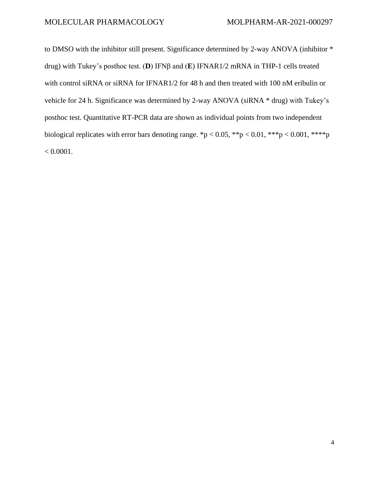to DMSO with the inhibitor still present. Significance determined by 2-way ANOVA (inhibitor \* drug) with Tukey's posthoc test. (**D**) IFNβ and (**E**) IFNAR1/2 mRNA in THP-1 cells treated with control siRNA or siRNA for IFNAR1/2 for 48 h and then treated with 100 nM eribulin or vehicle for 24 h. Significance was determined by 2-way ANOVA (siRNA \* drug) with Tukey's posthoc test. Quantitative RT-PCR data are shown as individual points from two independent biological replicates with error bars denoting range. \*p < 0.05, \*\*p < 0.01, \*\*\*p < 0.001, \*\*\*\*p  $< 0.0001$ .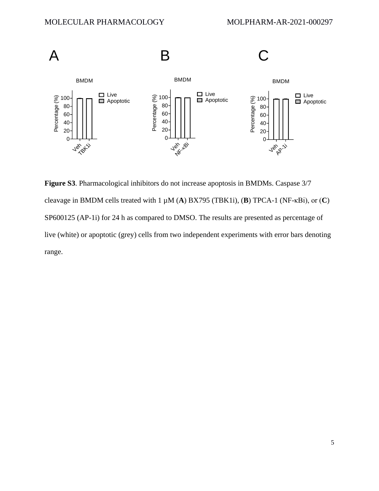

**Figure S3**. Pharmacological inhibitors do not increase apoptosis in BMDMs. Caspase 3/7 cleavage in BMDM cells treated with 1 µM (**A**) BX795 (TBK1i), (**B**) TPCA-1 (NF-κBi), or (**C**) SP600125 (AP-1i) for 24 h as compared to DMSO. The results are presented as percentage of live (white) or apoptotic (grey) cells from two independent experiments with error bars denoting range.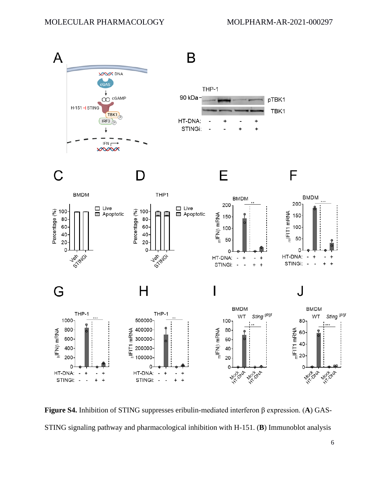

**Figure S4.** Inhibition of STING suppresses eribulin-mediated interferon β expression. (**A**) GAS-STING signaling pathway and pharmacological inhibition with H-151. (**B**) Immunoblot analysis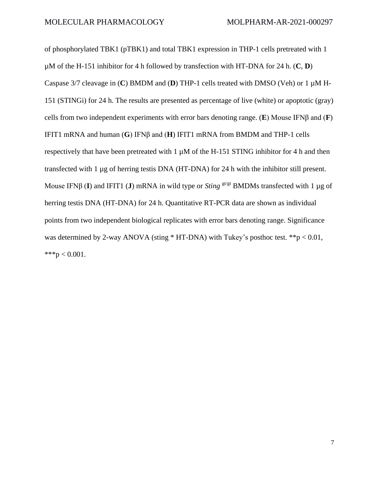of phosphorylated TBK1 (pTBK1) and total TBK1 expression in THP-1 cells pretreated with 1 µM of the H-151 inhibitor for 4 h followed by transfection with HT-DNA for 24 h. (**C**, **D**) Caspase 3/7 cleavage in (**C**) BMDM and (**D**) THP-1 cells treated with DMSO (Veh) or 1 µM H-151 (STINGi) for 24 h. The results are presented as percentage of live (white) or apoptotic (gray) cells from two independent experiments with error bars denoting range. (**E**) Mouse IFNβ and (**F**) IFIT1 mRNA and human (**G**) IFNβ and (**H**) IFIT1 mRNA from BMDM and THP-1 cells respectively that have been pretreated with  $1 \mu M$  of the H-151 STING inhibitor for 4 h and then transfected with 1 µg of herring testis DNA (HT-DNA) for 24 h with the inhibitor still present. Mouse IFNβ (I) and IFIT1 (J) mRNA in wild type or *Sting* <sup>gt/gt</sup> BMDMs transfected with 1 μg of herring testis DNA (HT-DNA) for 24 h. Quantitative RT-PCR data are shown as individual points from two independent biological replicates with error bars denoting range. Significance was determined by 2-way ANOVA (sting \* HT-DNA) with Tukey's posthoc test. \*\*p < 0.01, \*\*\*p < 0.001.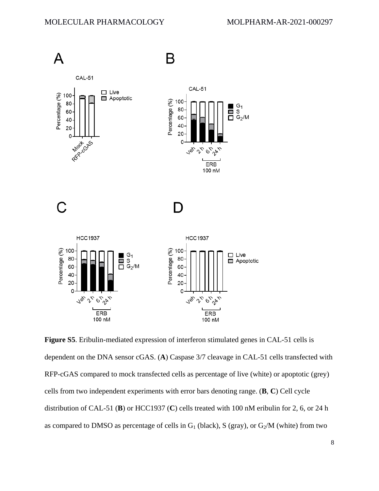![](_page_7_Figure_2.jpeg)

**Figure S5**. Eribulin-mediated expression of interferon stimulated genes in CAL-51 cells is dependent on the DNA sensor cGAS. (**A**) Caspase 3/7 cleavage in CAL-51 cells transfected with RFP-cGAS compared to mock transfected cells as percentage of live (white) or apoptotic (grey) cells from two independent experiments with error bars denoting range. (**B**, **C**) Cell cycle distribution of CAL-51 (**B**) or HCC1937 (**C**) cells treated with 100 nM eribulin for 2, 6, or 24 h as compared to DMSO as percentage of cells in  $G_1$  (black), S (gray), or  $G_2/M$  (white) from two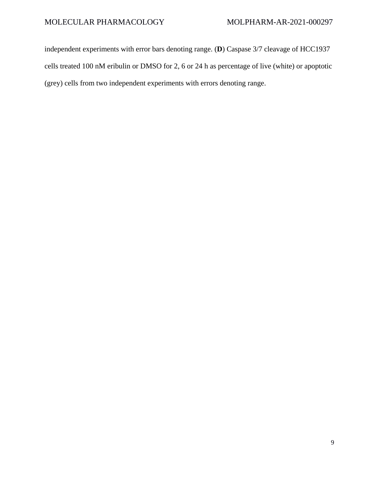independent experiments with error bars denoting range. (**D**) Caspase 3/7 cleavage of HCC1937 cells treated 100 nM eribulin or DMSO for 2, 6 or 24 h as percentage of live (white) or apoptotic (grey) cells from two independent experiments with errors denoting range.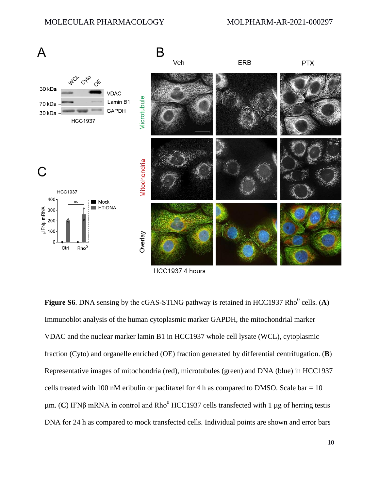![](_page_9_Figure_2.jpeg)

HCC1937 4 hours

**Figure S6**. DNA sensing by the cGAS-STING pathway is retained in HCC1937 Rho<sup>0</sup> cells. (A) Immunoblot analysis of the human cytoplasmic marker GAPDH, the mitochondrial marker VDAC and the nuclear marker lamin B1 in HCC1937 whole cell lysate (WCL), cytoplasmic fraction (Cyto) and organelle enriched (OE) fraction generated by differential centrifugation. (**B**) Representative images of mitochondria (red), microtubules (green) and DNA (blue) in HCC1937 cells treated with 100 nM eribulin or paclitaxel for 4 h as compared to DMSO. Scale bar  $= 10$  $μm$ . (**C**) IFNβ mRNA in control and Rho<sup>0</sup> HCC1937 cells transfected with 1  $μg$  of herring testis DNA for 24 h as compared to mock transfected cells. Individual points are shown and error bars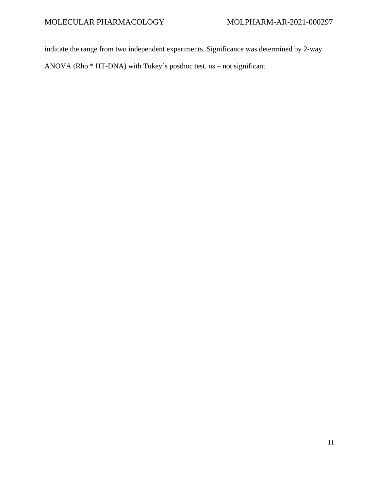indicate the range from two independent experiments. Significance was determined by 2-way

ANOVA (Rho \* HT-DNA) with Tukey's posthoc test. ns – not significant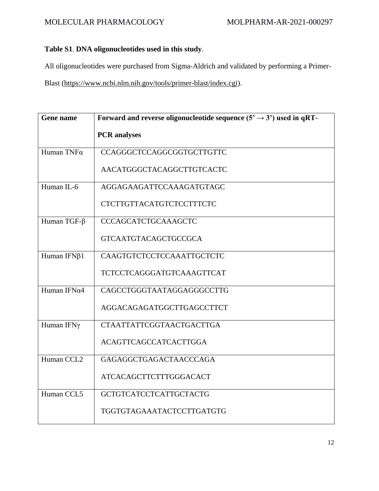## MOLECULAR PHARMACOLOGY MOLPHARM-AR-2021-000297

## **Table S1**. **DNA oligonucleotides used in this study**.

All oligonucleotides were purchased from Sigma-Aldrich and validated by performing a Primer-

Blast [\(https://www.ncbi.nlm.nih.gov/tools/primer-blast/index.cgi\)](https://www.ncbi.nlm.nih.gov/tools/primer-blast/index.cgi).

| Gene name            | Forward and reverse oligonucleotide sequence $(5' \rightarrow 3')$ used in qRT- |
|----------------------|---------------------------------------------------------------------------------|
|                      | <b>PCR</b> analyses                                                             |
| Human TNFα           | <b>CCAGGGCTCCAGGCGGTGCTTGTTC</b>                                                |
|                      | AACATGGGCTACAGGCTTGTCACTC                                                       |
| Human IL-6           | AGGAGAAGATTCCAAAGATGTAGC                                                        |
|                      | <b>CTCTTGTTACATGTCTCCTTTCTC</b>                                                 |
| Human TGF- $\beta$   | CCCAGCATCTGCAAAGCTC                                                             |
|                      | <b>GTCAATGTACAGCTGCCGCA</b>                                                     |
| Human IFNβ1          | CAAGTGTCTCCTCCAAATTGCTCTC                                                       |
|                      | TCTCCTCAGGGATGTCAAAGTTCAT                                                       |
| Human IFN $\alpha$ 4 | CAGCCTGGGTAATAGGAGGGCCTTG                                                       |
|                      | AGGACAGAGATGGCTTGAGCCTTCT                                                       |
| Human IFNγ           | <b>CTAATTATTCGGTAACTGACTTGA</b>                                                 |
|                      | <b>ACAGTTCAGCCATCACTTGGA</b>                                                    |
| Human CCL2           | GAGAGGCTGAGACTAACCCAGA                                                          |
|                      | ATCACAGCTTCTTTGGGACACT                                                          |
| Human CCL5           | <b>GCTGTCATCCTCATTGCTACTG</b>                                                   |
|                      | <b>TGGTGTAGAAATACTCCTTGATGTG</b>                                                |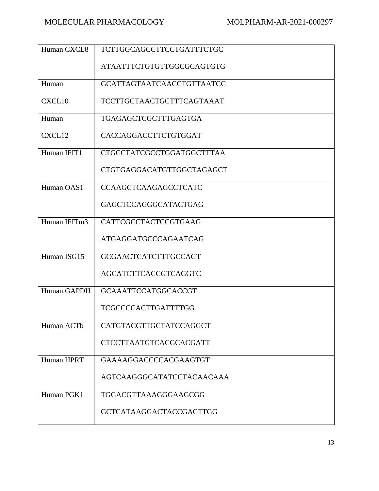| Human CXCL8  | <b>TCTTGGCAGCCTTCCTGATTTCTGC</b> |
|--------------|----------------------------------|
|              | ATAATTTCTGTGTTGGCGCAGTGTG        |
| Human        | <b>GCATTAGTAATCAACCTGTTAATCC</b> |
| CXCL10       | <b>TCCTTGCTAACTGCTTTCAGTAAAT</b> |
| Human        | TGAGAGCTCGCTTTGAGTGA             |
| CXCL12       | CACCAGGACCTTCTGTGGAT             |
| Human IFIT1  | CTGCCTATCGCCTGGATGGCTTTAA        |
|              | <b>CTGTGAGGACATGTTGGCTAGAGCT</b> |
| Human OAS1   | <b>CCAAGCTCAAGAGCCTCATC</b>      |
|              | GAGCTCCAGGGCATACTGAG             |
| Human IFITm3 | CATTCGCCTACTCCGTGAAG             |
|              | ATGAGGATGCCCAGAATCAG             |
| Human ISG15  | <b>GCGAACTCATCTTTGCCAGT</b>      |
|              | AGCATCTTCACCGTCAGGTC             |
| Human GAPDH  | <b>GCAAATTCCATGGCACCGT</b>       |
|              | <b>TCGCCCCACTTGATTTTGG</b>       |
| Human ACTb   | CATGTACGTTGCTATCCAGGCT           |
|              | CTCCTTAATGTCACGCACGATT           |
| Human HPRT   | GAAAAGGACCCCACGAAGTGT            |
|              | AGTCAAGGGCATATCCTACAACAAA        |
| Human PGK1   | TGGACGTTAAAGGGAAGCGG             |
|              | <b>GCTCATAAGGACTACCGACTTGG</b>   |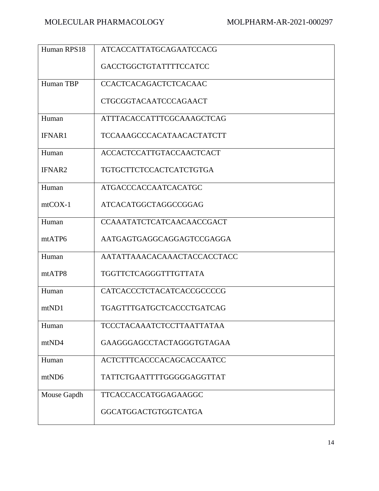| Human RPS18   | <b>ATCACCATTATGCAGAATCCACG</b>   |
|---------------|----------------------------------|
|               | GACCTGGCTGTATTTTCCATCC           |
| Human TBP     | <b>CCACTCACAGACTCTCACAAC</b>     |
|               | CTGCGGTACAATCCCAGAACT            |
| Human         | <b>ATTTACACCATTTCGCAAAGCTCAG</b> |
| <b>IFNAR1</b> | <b>TCCAAAGCCCACATAACACTATCTT</b> |
| Human         | <b>ACCACTCCATTGTACCAACTCACT</b>  |
| <b>IFNAR2</b> | <b>TGTGCTTCTCCACTCATCTGTGA</b>   |
| Human         | <b>ATGACCCACCAATCACATGC</b>      |
| $mtCOX-1$     | ATCACATGGCTAGGCCGGAG             |
| Human         | <b>CCAAATATCTCATCAACAACCGACT</b> |
| mtATP6        | AATGAGTGAGGCAGGAGTCCGAGGA        |
| Human         | AATATTAAACACAAACTACCACCTACC      |
| mtATP8        | TGGTTCTCAGGGTTTGTTATA            |
| Human         | CATCACCCTCTACATCACCGCCCCG        |
| mtND1         | TGAGTTTGATGCTCACCCTGATCAG        |
| Human         | <b>TCCCTACAAATCTCCTTAATTATAA</b> |
| mtND4         | GAAGGGAGCCTACTAGGGTGTAGAA        |
| Human         | <b>ACTCTTTCACCCACAGCACCAATCC</b> |
| mtND6         | TATTCTGAATTTTGGGGGAGGTTAT        |
| Mouse Gapdh   | TTCACCACCATGGAGAAGGC             |
|               | GGCATGGACTGTGGTCATGA             |